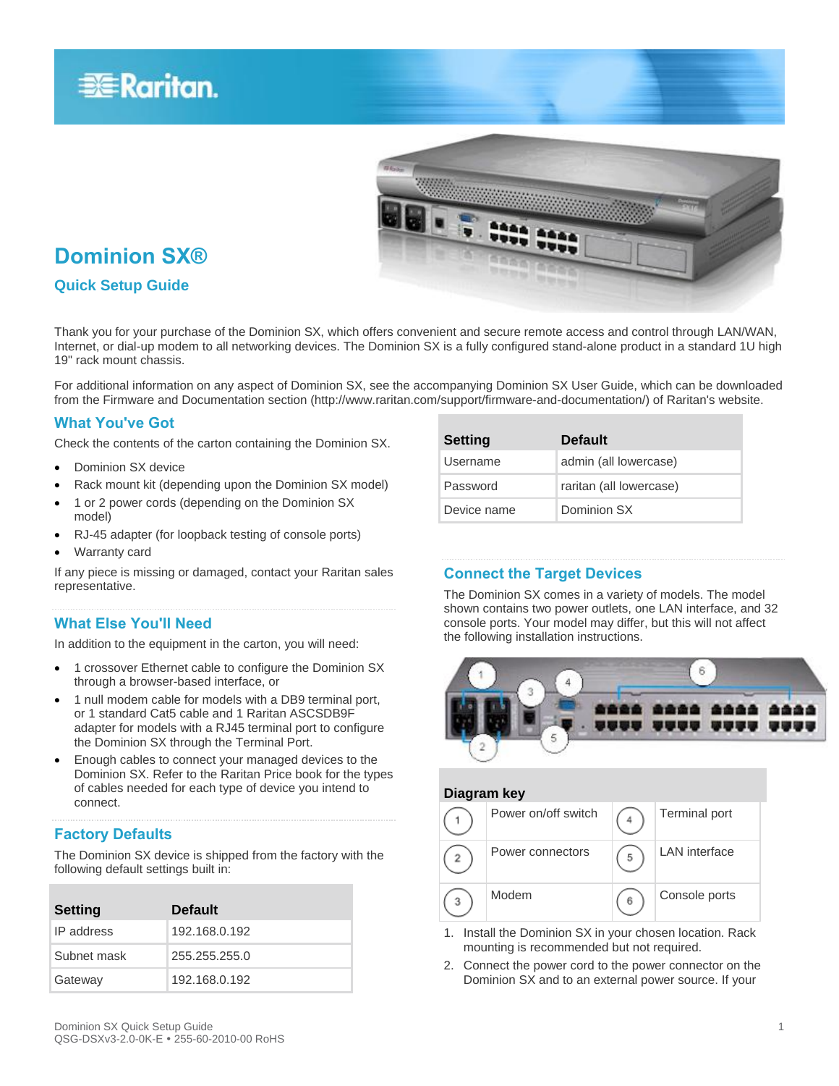



## **Dominion SX®**

## **Quick Setup Guide**

Thank you for your purchase of the Dominion SX, which offers convenient and secure remote access and control through LAN/WAN, Internet, or dial-up modem to all networking devices. The Dominion SX is a fully configured stand-alone product in a standard 1U high 19" rack mount chassis.

For additional information on any aspect of Dominion SX, see the accompanying Dominion SX User Guide, which can be downloaded from the Firmware and Documentation section (http://www.raritan.com/support/firmware-and-documentation/) of Raritan's website.

### **What You've Got**

Check the contents of the carton containing the Dominion SX.

- Dominion SX device
- Rack mount kit (depending upon the Dominion SX model)
- 1 or 2 power cords (depending on the Dominion SX model)
- RJ-45 adapter (for loopback testing of console ports)
- Warranty card

If any piece is missing or damaged, contact your Raritan sales representative.

### **What Else You'll Need**

In addition to the equipment in the carton, you will need:

- 1 crossover Ethernet cable to configure the Dominion SX through a browser-based interface, or
- 1 null modem cable for models with a DB9 terminal port, or 1 standard Cat5 cable and 1 Raritan ASCSDB9F adapter for models with a RJ45 terminal port to configure the Dominion SX through the Terminal Port.
- Enough cables to connect your managed devices to the Dominion SX. Refer to the Raritan Price book for the types of cables needed for each type of device you intend to connect.

## **Factory Defaults**

The Dominion SX device is shipped from the factory with the following default settings built in:

| <b>Setting</b> | <b>Default</b> |
|----------------|----------------|
| IP address     | 192.168.0.192  |
| Subnet mask    | 255.255.255.0  |
| Gateway        | 192.168.0.192  |

| <b>Setting</b> | <b>Default</b>          |
|----------------|-------------------------|
| Username       | admin (all lowercase)   |
| Password       | raritan (all lowercase) |
| Device name    | Dominion SX             |

## **Connect the Target Devices**

The Dominion SX comes in a variety of models. The model shown contains two power outlets, one LAN interface, and 32 console ports. Your model may differ, but this will not affect the following installation instructions.



## **Diagram key** Power on/off switch  $\boxed{4}$  Terminal port Power connectors  $\boxed{\bigcap_{5}}$  LAN interface  $\bar{2}$ Modem  $\begin{array}{|c|c|c|}\n\hline\n6\n\end{array}$  Console ports  $^{\rm 3}$

- 1. Install the Dominion SX in your chosen location. Rack mounting is recommended but not required.
- 2. Connect the power cord to the power connector on the Dominion SX and to an external power source. If your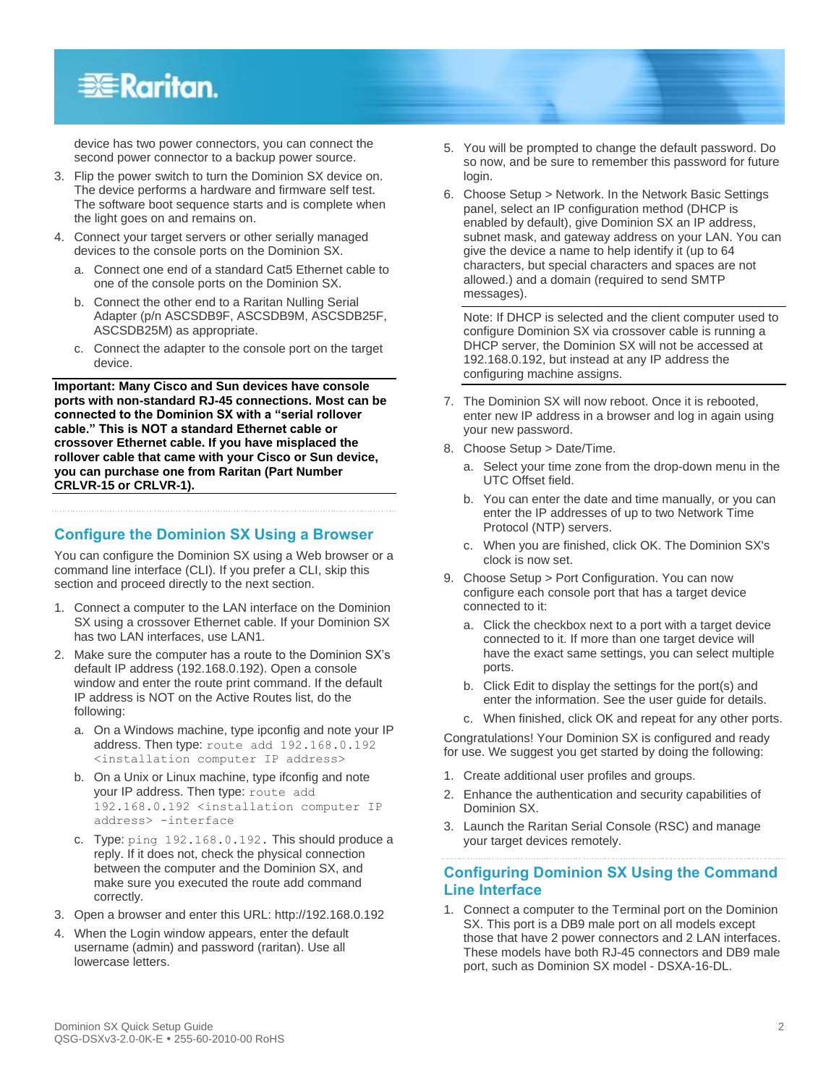## **EXERGritan**.

device has two power connectors, you can connect the second power connector to a backup power source.

- 3. Flip the power switch to turn the Dominion SX device on. The device performs a hardware and firmware self test. The software boot sequence starts and is complete when the light goes on and remains on.
- 4. Connect your target servers or other serially managed devices to the console ports on the Dominion SX.
	- a. Connect one end of a standard Cat5 Ethernet cable to one of the console ports on the Dominion SX.
	- b. Connect the other end to a Raritan Nulling Serial Adapter (p/n ASCSDB9F, ASCSDB9M, ASCSDB25F, ASCSDB25M) as appropriate.
	- c. Connect the adapter to the console port on the target device.

**Important: Many Cisco and Sun devices have console ports with non-standard RJ-45 connections. Most can be connected to the Dominion SX with a "serial rollover cable." This is NOT a standard Ethernet cable or crossover Ethernet cable. If you have misplaced the rollover cable that came with your Cisco or Sun device, you can purchase one from Raritan (Part Number CRLVR-15 or CRLVR-1).**

## **Configure the Dominion SX Using a Browser**

You can configure the Dominion SX using a Web browser or a command line interface (CLI). If you prefer a CLI, skip this section and proceed directly to the next section.

- 1. Connect a computer to the LAN interface on the Dominion SX using a crossover Ethernet cable. If your Dominion SX has two LAN interfaces, use LAN1.
- 2. Make sure the computer has a route to the Dominion SX's default IP address (192.168.0.192). Open a console window and enter the route print command. If the default IP address is NOT on the Active Routes list, do the following:
	- a. On a Windows machine, type ipconfig and note your IP address. Then type: route add 192.168.0.192 <installation computer IP address>
	- b. On a Unix or Linux machine, type ifconfig and note your IP address. Then type: route add 192.168.0.192 <installation computer IP address> -interface
	- c. Type: ping 192.168.0.192. This should produce a reply. If it does not, check the physical connection between the computer and the Dominion SX, and make sure you executed the route add command correctly.
- 3. Open a browser and enter this URL: http://192.168.0.192
- 4. When the Login window appears, enter the default username (admin) and password (raritan). Use all lowercase letters.
- 5. You will be prompted to change the default password. Do so now, and be sure to remember this password for future login.
- 6. Choose Setup > Network. In the Network Basic Settings panel, select an IP configuration method (DHCP is enabled by default), give Dominion SX an IP address, subnet mask, and gateway address on your LAN. You can give the device a name to help identify it (up to 64 characters, but special characters and spaces are not allowed.) and a domain (required to send SMTP messages).

Note: If DHCP is selected and the client computer used to configure Dominion SX via crossover cable is running a DHCP server, the Dominion SX will not be accessed at 192.168.0.192, but instead at any IP address the configuring machine assigns.

- 7. The Dominion SX will now reboot. Once it is rebooted, enter new IP address in a browser and log in again using your new password.
- 8. Choose Setup > Date/Time.
	- a. Select your time zone from the drop-down menu in the UTC Offset field.
	- b. You can enter the date and time manually, or you can enter the IP addresses of up to two Network Time Protocol (NTP) servers.
	- c. When you are finished, click OK. The Dominion SX's clock is now set.
- 9. Choose Setup > Port Configuration. You can now configure each console port that has a target device connected to it:
	- a. Click the checkbox next to a port with a target device connected to it. If more than one target device will have the exact same settings, you can select multiple ports.
	- b. Click Edit to display the settings for the port(s) and enter the information. See the user guide for details.
	- c. When finished, click OK and repeat for any other ports.

Congratulations! Your Dominion SX is configured and ready for use. We suggest you get started by doing the following:

- 1. Create additional user profiles and groups.
- 2. Enhance the authentication and security capabilities of Dominion SX.
- 3. Launch the Raritan Serial Console (RSC) and manage your target devices remotely.

## **Configuring Dominion SX Using the Command Line Interface**

1. Connect a computer to the Terminal port on the Dominion SX. This port is a DB9 male port on all models except those that have 2 power connectors and 2 LAN interfaces. These models have both RJ-45 connectors and DB9 male port, such as Dominion SX model - DSXA-16-DL.